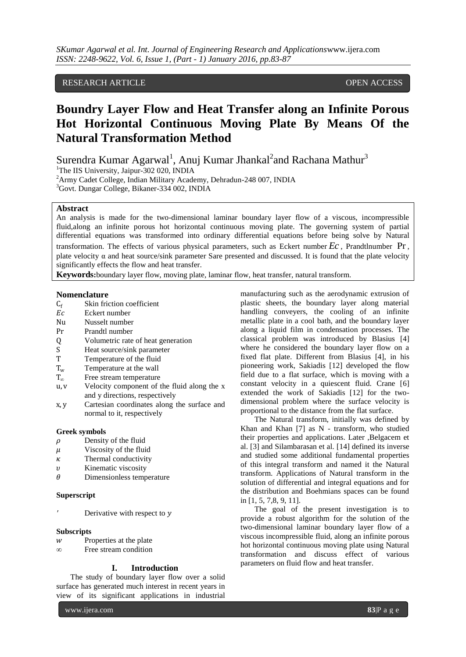# RESEARCH ARTICLE **CONSERVERS** OPEN ACCESS

# **Boundry Layer Flow and Heat Transfer along an Infinite Porous Hot Horizontal Continuous Moving Plate By Means Of the Natural Transformation Method**

Surendra Kumar Agarwal<sup>1</sup>, Anuj Kumar Jhankal<sup>2</sup>and Rachana Mathur<sup>3</sup> <sup>1</sup>The IIS University, Jaipur-302 020, INDIA

<sup>2</sup>Army Cadet College, Indian Military Academy, Dehradun-248 007, INDIA

<sup>3</sup>Govt. Dungar College, Bikaner-334 002, INDIA

## **Abstract**

An analysis is made for the two-dimensional laminar boundary layer flow of a viscous, incompressible fluid,along an infinite porous hot horizontal continuous moving plate. The governing system of partial differential equations was transformed into ordinary differential equations before being solve by Natural transformation. The effects of various physical parameters, such as Eckert number *Ec* , Prandtlnumber Pr , plate velocity  $\alpha$  and heat source/sink parameter Sare presented and discussed. It is found that the plate velocity significantly effects the flow and heat transfer.

**Keywords:**boundary layer flow, moving plate, laminar flow, heat transfer, natural transform.

### **Nomenclature**

- $C_f$  Skin friction coefficient<br>  $Ec$  Eckert number
- Eckert number
- Nu Nusselt number
- Pr Prandtl number
- Q Volumetric rate of heat generation
- S Heat source/sink parameter<br>T Temperature of the fluid
- Temperature of the fluid
- $T_w$  Temperature at the wall
- T<sup>∞</sup> Free stream temperature
- u, v Velocity component of the fluid along the x and y directions, respectively
- x, y Cartesian coordinates along the surface and normal to it, respectively

#### **Greek symbols**

- $\rho$  Density of the fluid
- $\mu$  Viscosity of the fluid
- $\kappa$  Thermal conductivity
- $v$  Kinematic viscosity
- $\theta$  Dimensionless temperature

# **Superscript**

Derivative with respect to y

#### **Subscripts**

- $w$  Properties at the plate
- *∞* Free stream condition

## **I. Introduction**

The study of boundary layer flow over a solid surface has generated much interest in recent years in view of its significant applications in industrial

www.ijera.com **83**|P a g e

manufacturing such as the aerodynamic extrusion of plastic sheets, the boundary layer along material handling conveyers, the cooling of an infinite metallic plate in a cool bath, and the boundary layer along a liquid film in condensation processes. The classical problem was introduced by Blasius [4] where he considered the boundary layer flow on a fixed flat plate. Different from Blasius [4], in his pioneering work, Sakiadis [12] developed the flow field due to a flat surface, which is moving with a constant velocity in a quiescent fluid. Crane [6] extended the work of Sakiadis [12] for the twodimensional problem where the surface velocity is proportional to the distance from the flat surface.

The Natural transform, initially was defined by Khan and Khan [7] as N - transform, who studied their properties and applications. Later ,Belgacem et al. [3] and Silambarasan et al. [14] defined its inverse and studied some additional fundamental properties of this integral transform and named it the Natural transform. Applications of Natural transform in the solution of differential and integral equations and for the distribution and Boehmians spaces can be found in [1, 5, 7,8, 9, 11].

The goal of the present investigation is to provide a robust algorithm for the solution of the two-dimensional laminar boundary layer flow of a viscous incompressible fluid, along an infinite porous hot horizontal continuous moving plate using Natural transformation and discuss effect of various parameters on fluid flow and heat transfer.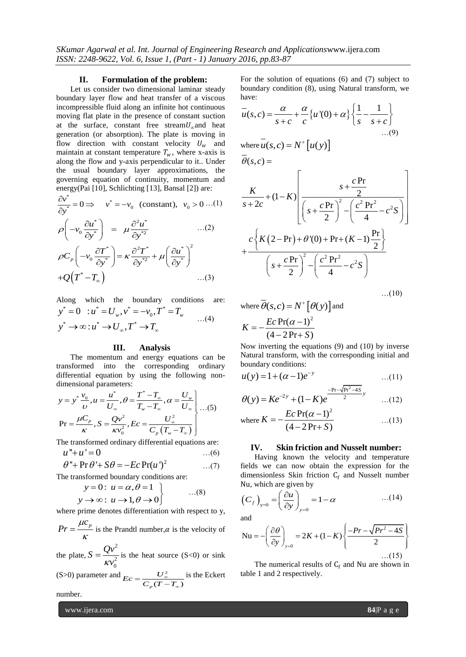#### **II. Formulation of the problem:**

Let us consider two dimensional laminar steady boundary layer flow and heat transfer of a viscous incompressible fluid along an infinite hot continuous moving flat plate in the presence of constant suction at the surface, constant free stream $U_{\alpha}$ and heat generation (or absorption). The plate is moving in flow direction with constant velocity  $U_w$  and maintain at constant temperature  $T_w$ , where x-axis is along the flow and y-axis perpendicular to it.. Under the usual boundary layer approximations, the governing equation of continuity, momentum and

energy(Pai [10], Schlichting [13], Bansal [2]) are:  
\n
$$
\frac{\partial v^*}{\partial y^*} = 0 \implies v^* = -v_0 \text{ (constant)}, \ v_0 > 0 \dots (1)
$$
\n
$$
\rho \left( -v_0 \frac{\partial u^*}{\partial y^*} \right) = \mu \frac{\partial^2 u^*}{\partial y^{*2}} \qquad \dots (2)
$$
\n
$$
\rho C_p \left( -v_0 \frac{\partial T^*}{\partial y^*} \right) = \kappa \frac{\partial^2 T^*}{\partial y^{*2}} + \mu \left( \frac{\partial u^*}{\partial y^*} \right)^2
$$

$$
\rho C_p \left( -v_0 \frac{\partial T^*}{\partial y^*} \right) = \kappa \frac{\partial^2 T^*}{\partial y^{*2}} + \mu \left( \frac{\partial u^*}{\partial y^*} \right)^2
$$
  
+ $Q(T^* - T_\infty)$ ...(3)

Along which the boundary conditions are: long which the boundary<br>  $^* = 0$  :  $u^* = U_w$ ,  $v^* = -v_0$ ,  $T^*$ ng which the boundary condit<br>= 0 :  $u^* = U_w$ ,  $v^* = -v_0$ ,  $T^* = T_w$ 

Along which the boundary conditions are  
\n
$$
y^* = 0
$$
:  $u^* = U_w$ ,  $v^* = -v_0$ ,  $T^* = T_w$  ...(4)  
\n $y^* \rightarrow \infty$ :  $u^* \rightarrow U_\infty$ ,  $T^* \rightarrow T_\infty$ 

#### **III. Analysis**

The momentum and energy equations can be transformed into the corresponding ordinary differential equation by using the following non-

dimensional parameters:  
\n
$$
y = y^* \frac{v_0}{v}, u = \frac{u^*}{U_{\infty}}, \theta = \frac{T^* - T_{\infty}}{T_w - T_{\infty}}, \alpha = \frac{U_w}{U_{\infty}} \Bigg\} \dots (5)
$$
\n
$$
\text{Pr} = \frac{\mu C_p}{\kappa}, S = \frac{Qv^2}{\kappa v_0^2}, Ec = \frac{U_{\infty}^2}{C_p (T_w - T_{\infty})}
$$

The transformed ordinary differential equations are:  $u$ "+ $u$ ' = 0 …(6)

$$
\theta'' + \Pr \theta' + S\theta = -Ec \Pr(u')^2 \qquad ...(7)
$$

The transformed boundary conditions are:<br>  $y = 0: u = \alpha, \theta = 1$ 

$$
y = 0: u = \alpha, \theta = 1
$$
  

$$
y \to \infty: u \to 1, \theta \to 0
$$
...(8)

where prime denotes differentiation with respect to y, *p c*

 $Pr = \frac{\mu}{\sigma}$  $=\frac{\mu v_p}{K}$  is the Prandtl number,  $\alpha$  is the velocity of

the plate, 2 2 0  $S = \frac{Qv}{2}$  $\kappa v$  $=\frac{\mathcal{Q}V}{2}$  is the heat source (S<0) or sink

(S>0) parameter and 
$$
Ec = \frac{U_{\infty}^2}{C_p(T - T_{\infty})}
$$
 is the Eckert

number.

www.ijera.com **84**|P a g e

For the solution of equations (6) and (7) subject to boundary condition (8), using Natural transform, we have:

have:  
\n
$$
\bar{u}(s,c) = \frac{\alpha}{s+c} + \frac{\alpha}{c} \{u'(0) + \alpha\} \left\{ \frac{1}{s} - \frac{1}{s+c} \right\} ... (9)
$$
\nwhere  $\bar{u}(s,c) = N^+ [u(y)]$   
\n $\bar{\theta}(s,c) =$   
\n
$$
K \qquad \qquad \left[ \qquad s + \frac{c \Pr}{2} \qquad \qquad \right]
$$

$$
\frac{K}{s+2c} + (1-K) \left[ \frac{s + \frac{cPr}{2}}{\left(s + \frac{cPr}{2}\right)^2 - \left(\frac{c^2 Pr^2}{4} - c^2 S\right)} \right]
$$

$$
+ \frac{c\left\{K(2-Pr) + \theta'(0) + Pr + (K-1)\frac{Pr}{2}\right\}}{\left(s + \frac{cPr}{2}\right)^2 - \left(\frac{c^2 Pr^2}{4} - c^2 S\right)}
$$

where  $\overline{\theta}(s, c) = N^* [\theta(y)]$  and  $Pr(\alpha - 1)^2$  $\overline{(4 - 2Pr + S)}$  $K = -\frac{Ec}{dt}$ *S*  $=-\frac{Ec\Pr(\alpha - )}{(1-2R)}$  $-2Pr+S$ 

Now inverting the equations (9) and (10) by inverse Natural transform, with the corresponding initial and boundary conditions:

$$
u(y) = 1 + (\alpha - 1)e^{-y} \tag{11}
$$

$$
\theta(y) = Ke^{-2y} + (1 - K)e^{-\frac{-\text{Pr} - \sqrt{\text{Pr}^2 - 4S}}{2}y} \qquad \dots (12)
$$

where 
$$
K = -\frac{Ec \Pr(\alpha - 1)^2}{(4 - 2\Pr + S)}
$$
 ...(13)

#### **IV. Skin friction and Nusselt number:**

Having known the velocity and temperature fields we can now obtain the expression for the dimensionless Skin friction  $C_f$  and Nusselt number

Nu, which are given by  
\n
$$
(C_f)_{y=0} = \left(\frac{\partial u}{\partial y}\right)_{y=0} = 1 - \alpha \qquad ...(14)
$$

and

and  
\n
$$
Nu = -\left(\frac{\partial \theta}{\partial y}\right)_{y=0} = 2K + (1-K)\left\{\frac{-Pr - \sqrt{Pr^2 - 4S}}{2}\right\}
$$
\n...(15)

The numerical results of  $C_f$  and Nu are shown in table 1 and 2 respectively.

…(10)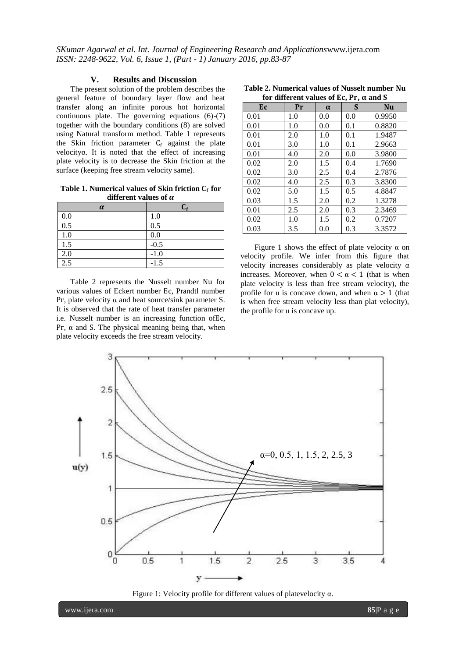## **V. Results and Discussion**

The present solution of the problem describes the general feature of boundary layer flow and heat transfer along an infinite porous hot horizontal continuous plate. The governing equations (6)-(7) together with the boundary conditions (8) are solved using Natural transform method. Table 1 represents the Skin friction parameter  $C_f$  against the plate velocityα. It is noted that the effect of increasing plate velocity is to decrease the Skin friction at the surface (keeping free stream velocity same).

Table 1. Numerical values of Skin friction C<sub>f</sub> for **different values of** 

| $\alpha$         | $\mathsf{C}_\mathsf{f}$ |
|------------------|-------------------------|
| 0.0              | 1.0                     |
| 0.5              | 0.5                     |
| 1.0              | 0.0                     |
| 1.5              | $-0.5$                  |
| 2.0              | $-1.0$                  |
| $\overline{2.5}$ | $-1.5$                  |

Table 2 represents the Nusselt number Nu for various values of Eckert number Ec, Prandtl number Pr, plate velocity  $\alpha$  and heat source/sink parameter S. It is observed that the rate of heat transfer parameter i.e. Nusselt number is an increasing function ofEc, Pr,  $\alpha$  and S. The physical meaning being that, when plate velocity exceeds the free stream velocity.

| Table 2. Numerical values of Nusselt number Nu |  |  |
|------------------------------------------------|--|--|
| for different volues of Eq. Dr. of and C.      |  |  |

| for different values of Ec, Pr, $\alpha$ and S |     |          |     |           |  |  |  |  |
|------------------------------------------------|-----|----------|-----|-----------|--|--|--|--|
| Ec                                             | Pr  | $\alpha$ | S   | <b>Nu</b> |  |  |  |  |
| 0.01                                           | 1.0 | 0.0      | 0.0 | 0.9950    |  |  |  |  |
| 0.01                                           | 1.0 | 0.0      | 0.1 | 0.8820    |  |  |  |  |
| 0.01                                           | 2.0 | 1.0      | 0.1 | 1.9487    |  |  |  |  |
| 0.01                                           | 3.0 | 1.0      | 0.1 | 2.9663    |  |  |  |  |
| 0.01                                           | 4.0 | 2.0      | 0.0 | 3.9800    |  |  |  |  |
| 0.02                                           | 2.0 | 1.5      | 0.4 | 1.7690    |  |  |  |  |
| 0.02                                           | 3.0 | 2.5      | 0.4 | 2.7876    |  |  |  |  |
| 0.02                                           | 4.0 | 2.5      | 0.3 | 3.8300    |  |  |  |  |
| 0.02                                           | 5.0 | 1.5      | 0.5 | 4.8847    |  |  |  |  |
| 0.03                                           | 1.5 | 2.0      | 0.2 | 1.3278    |  |  |  |  |
| 0.01                                           | 2.5 | 2.0      | 0.3 | 2.3469    |  |  |  |  |
| 0.02                                           | 1.0 | 1.5      | 0.2 | 0.7207    |  |  |  |  |
| 0.03                                           | 3.5 | 0.0      | 0.3 | 3.3572    |  |  |  |  |

Figure 1 shows the effect of plate velocity  $\alpha$  on velocity profile. We infer from this figure that velocity increases considerably as plate velocity α increases. Moreover, when  $0 < \alpha < 1$  (that is when plate velocity is less than free stream velocity), the profile for u is concave down, and when  $\alpha > 1$  (that is when free stream velocity less than plat velocity), the profile for u is concave up.



Figure 1: Velocity profile for different values of platevelocity α.

www.ijera.com **85**|P a g e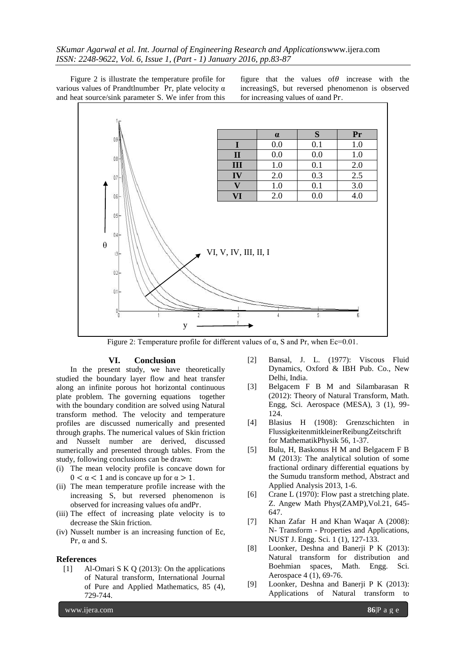Figure 2 is illustrate the temperature profile for various values of Prandtlnumber Pr, plate velocity α and heat source/sink parameter S. We infer from this figure that the values of  $\theta$  increase with the increasingS, but reversed phenomenon is observed for increasing values of αand Pr.



Figure 2: Temperature profile for different values of  $\alpha$ , S and Pr, when Ec=0.01.

## **VI. Conclusion**

In the present study, we have theoretically studied the boundary layer flow and heat transfer along an infinite porous hot horizontal continuous plate problem. The governing equations together with the boundary condition are solved using Natural transform method. The velocity and temperature profiles are discussed numerically and presented through graphs. The numerical values of Skin friction and Nusselt number are derived, discussed numerically and presented through tables. From the study, following conclusions can be drawn:

- (i) The mean velocity profile is concave down for  $0 < \alpha < 1$  and is concave up for  $\alpha > 1$ .
- (ii) The mean temperature profile increase with the increasing S, but reversed phenomenon is observed for increasing values ofα andPr.
- (iii) The effect of increasing plate velocity is to decrease the Skin friction.
- (iv) Nusselt number is an increasing function of Ec, Pr,  $\alpha$  and S.

#### **References**

[1] Al-Omari S K Q (2013): On the applications of Natural transform, International Journal of Pure and Applied Mathematics, 85 (4), 729-744.

- [2] Bansal, J. L. (1977): Viscous Fluid Dynamics, Oxford & IBH Pub. Co., New Delhi, India.
- [3] Belgacem F B M and Silambarasan R (2012): Theory of Natural Transform, Math. Engg, Sci. Aerospace (MESA), 3 (1), 99- 124.
- [4] Blasius H (1908): Grenzschichten in FlussigkeitenmitkleinerReibungZeitschrift for MathematikPhysik 56, 1-37.
- [5] Bulu, H, Baskonus H M and Belgacem F B M (2013): The analytical solution of some fractional ordinary differential equations by the Sumudu transform method, Abstract and Applied Analysis 2013, 1-6.
- [6] Crane L (1970): Flow past a stretching plate. Z. Angew Math Phys(ZAMP),Vol.21, 645- 647.
- [7] Khan Zafar H and Khan Waqar A (2008): N- Transform - Properties and Applications, NUST J. Engg. Sci. 1 (1), 127-133.
- [8] Loonker, Deshna and Banerji P K (2013): Natural transform for distribution and Boehmian spaces, Math. Engg. Sci. Aerospace 4 (1), 69-76.
- [9] Loonker, Deshna and Banerji P K (2013): Applications of Natural transform to

www.ijera.com **86**|P a g e